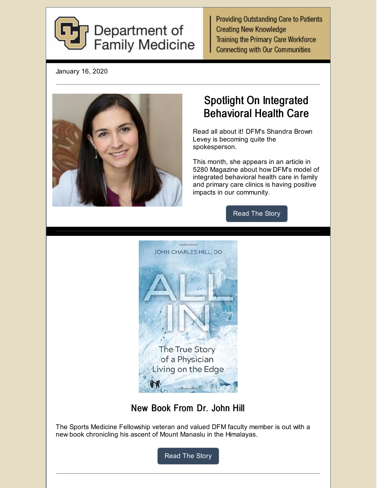

**Providing Outstanding Care to Patients Creating New Knowledge Training the Primary Care Workforce Connecting with Our Communities** 

January 16, 2020



# Spotlight On Integrated Behavioral Health Care

Read all about it! DFM's Shandra Brown Levey is becoming quite the spokesperson.

This month, she appears in an article in 5280 Magazine about how DFM's model of integrated behavioral health care in family and primary care clinics is having positive impacts in our community.

[Read](https://medschool.cuanschutz.edu/family-medicine/about/news/communication-hub/dfm-integrated-behavioral-health-care-spotlighted) The Story



New Book From Dr. John Hill

The Sports Medicine Fellowship veteran and valued DFM faculty member is out with a new book chronicling his ascent of Mount Manaslu in the Himalayas.

[Read](https://medschool.cuanschutz.edu/family-medicine/about/news/communication-hub/living-on-the-edge-with-dr.-john-hill) The Story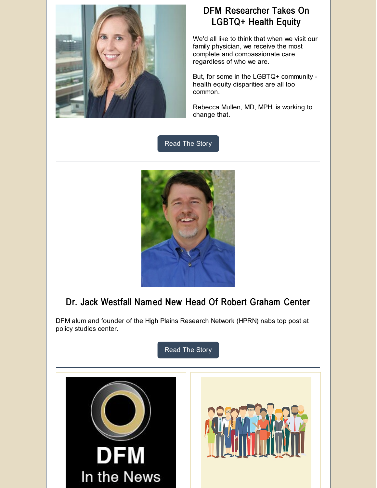

## DFM Researcher Takes On LGBTQ+ Health Equity

We'd all like to think that when we visit our family physician, we receive the most complete and compassionate care regardless of who we are.

But, for some in the LGBTQ+ community health equity disparities are all too common.

Rebecca Mullen, MD, MPH, is working to change that.

[Read](https://medschool.cuanschutz.edu/family-medicine/about/news/university-of-colorado-family-medicine-research/research-reachout-stories/lgbtq-health-equity) The Story



# Dr. Jack Westfall Named New Head Of Robert Graham Center

DFM alum and founder of the High Plains Research Network (HPRN) nabs top post at policy studies center.

[Read](https://medschool.cuanschutz.edu/family-medicine/about/news/communication-hub/dfm-alum-named-to-top-post) The Story

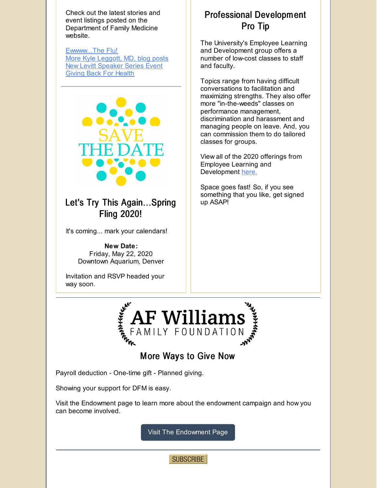Check out the latest stories and event listings posted on the Department of Family Medicine website.

[Ewwww...The](https://medschool.cuanschutz.edu/family-medicine/about/news/university-of-colorado-family-medicine-patient-care-news/patient-care-blog/ewwww---the-flu) Flu! More Kyle [Leggott,](https://medschool.cuanschutz.edu/family-medicine/about/news/communication-hub/a-rising-family-medicine-star) MD, blog posts New Levitt [Speaker](https://medschool.cuanschutz.edu/family-medicine/about/levitt-distinguished-speaker-series/levitt-events) Series Event Giving Back For [Health](https://medschool.cuanschutz.edu/family-medicine/about/news/communication-hub/new-dfm-giving-back-for-health-project!)



#### Let's Try This Again...Spring Fling 2020!

It's coming... mark your calendars!

**New Date:** Friday, May 22, 2020 Downtown Aquarium, Denver

Invitation and RSVP headed your way soon.

# Professional Development Pro Tip

The University's Employee Learning and Development group offers a number of low-cost classes to staff and faculty.

Topics range from having difficult conversations to facilitation and maximizing strengths. They also offer more "in-the-weeds" classes on performance management, discrimination and harassment and managing people on leave. And, you can commission them to do tailored classes for groups.

View all of the 2020 offerings from Employee Learning and Development [here.](http://www.ucdenver.edu/about/departments/HR/Documents/Training Course Catalog_2020_10.30.pdf)

Space goes fast! So, if you see something that you like, get signed up ASAP!



## More Ways to Give Now

Payroll deduction - One-time gift - Planned giving.

Showing your support for DFM is easy.

Visit the Endowment page to learn more about the endowment campaign and how you can become involved.

Visit The [Endowment](https://medschool.cuanschutz.edu/family-medicine/about/department-endowment-campaign) Page

**SUBSCRIBE**